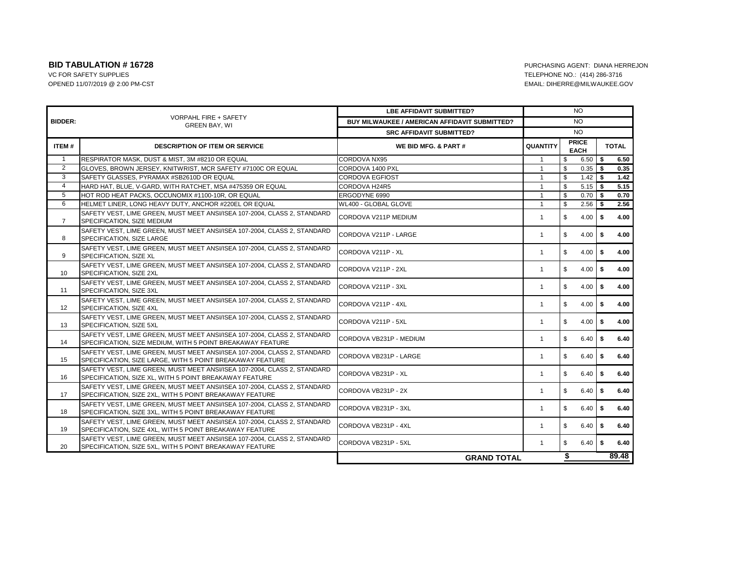|                |                                                                                                                                        | <b>LBE AFFIDAVIT SUBMITTED?</b>                      | <b>NO</b>                               |              |               |              |       |  |  |
|----------------|----------------------------------------------------------------------------------------------------------------------------------------|------------------------------------------------------|-----------------------------------------|--------------|---------------|--------------|-------|--|--|
| <b>BIDDER:</b> | <b>VORPAHL FIRE + SAFETY</b><br><b>GREEN BAY, WI</b>                                                                                   | <b>BUY MILWAUKEE / AMERICAN AFFIDAVIT SUBMITTED?</b> |                                         |              | NO.           |              |       |  |  |
|                |                                                                                                                                        | <b>SRC AFFIDAVIT SUBMITTED?</b>                      | <b>NO</b>                               |              |               |              |       |  |  |
| ITEM #         | <b>DESCRIPTION OF ITEM OR SERVICE</b>                                                                                                  | WE BID MFG. & PART #                                 | <b>PRICE</b><br>QUANTITY<br><b>EACH</b> |              |               | <b>TOTAL</b> |       |  |  |
| $\overline{1}$ | RESPIRATOR MASK, DUST & MIST, 3M #8210 OR EQUAL                                                                                        | <b>CORDOVA NX95</b>                                  | -1                                      | \$           | $6.50$ \$     |              | 6.50  |  |  |
| 2              | GLOVES, BROWN JERSEY, KNITWRIST, MCR SAFETY #7100C OR EQUAL                                                                            | CORDOVA 1400 PXL                                     | $\mathbf{1}$                            | \$           | $0.35$ \$     |              | 0.35  |  |  |
| 3              | SAFETY GLASSES, PYRAMAX #SB2610D OR EQUAL                                                                                              | <b>CORDOVA EGFIOST</b>                               | $\mathbf{1}$                            | \$           | $1.42$ \$     |              | 1.42  |  |  |
| $\overline{4}$ | HARD HAT, BLUE, V-GARD, WITH RATCHET, MSA #475359 OR EQUAL                                                                             | CORDOVA H24R5                                        | $\mathbf{1}$                            | \$           | $5.15$ \$     |              | 5.15  |  |  |
| 5              | HOT ROD HEAT PACKS, OCCUNOMIX #1100-10R, OR EQUAL                                                                                      | ERGODYNE 6990                                        | $\mathbf{1}$                            | \$           | $0.70$ \ \ \$ |              | 0.70  |  |  |
| 6              | HELMET LINER, LONG HEAVY DUTY, ANCHOR #220EL OR EQUAL                                                                                  | WL400 - GLOBAL GLOVE                                 | $\mathbf{1}$                            | \$           | $2.56$ \$     |              | 2.56  |  |  |
| $\overline{7}$ | SAFETY VEST, LIME GREEN, MUST MEET ANSI/ISEA 107-2004, CLASS 2, STANDARD<br>SPECIFICATION, SIZE MEDIUM                                 | CORDOVA V211P MEDIUM                                 | $\mathbf{1}$                            | \$           | $4.00$ \$     |              | 4.00  |  |  |
| 8              | SAFETY VEST, LIME GREEN, MUST MEET ANSI/ISEA 107-2004, CLASS 2, STANDARD<br>SPECIFICATION, SIZE LARGE                                  | CORDOVA V211P - LARGE                                | $\mathbf{1}$                            | \$           | $4.00$ \$     |              | 4.00  |  |  |
| 9              | SAFETY VEST, LIME GREEN, MUST MEET ANSI/ISEA 107-2004, CLASS 2, STANDARD<br>SPECIFICATION, SIZE XL                                     | CORDOVA V211P - XL                                   | $\mathbf{1}$                            | \$           | $4.00$ \$     |              | 4.00  |  |  |
| 10             | SAFETY VEST, LIME GREEN, MUST MEET ANSI/ISEA 107-2004, CLASS 2, STANDARD<br>SPECIFICATION, SIZE 2XL                                    | CORDOVA V211P - 2XL                                  | $\mathbf{1}$                            | \$           | $4.00$ \$     |              | 4.00  |  |  |
| 11             | SAFETY VEST, LIME GREEN, MUST MEET ANSI/ISEA 107-2004, CLASS 2, STANDARD<br>SPECIFICATION, SIZE 3XL                                    | CORDOVA V211P - 3XL                                  | $\mathbf{1}$                            | $\mathbb{S}$ |               |              | 4.00  |  |  |
| 12             | SAFETY VEST, LIME GREEN, MUST MEET ANSI/ISEA 107-2004, CLASS 2, STANDARD<br>SPECIFICATION, SIZE 4XL                                    | CORDOVA V211P - 4XL                                  | $\mathbf{1}$                            | \$           | $4.00$ \$     |              | 4.00  |  |  |
| 13             | SAFETY VEST, LIME GREEN, MUST MEET ANSI/ISEA 107-2004, CLASS 2, STANDARD<br>SPECIFICATION, SIZE 5XL                                    | CORDOVA V211P - 5XL                                  | $\mathbf{1}$                            | \$           | $4.00$ \$     |              | 4.00  |  |  |
| 14             | SAFETY VEST, LIME GREEN, MUST MEET ANSI/ISEA 107-2004, CLASS 2, STANDARD<br>SPECIFICATION, SIZE MEDIUM, WITH 5 POINT BREAKAWAY FEATURE | CORDOVA VB231P - MEDIUM                              | $\mathbf{1}$                            | \$           | $6.40$ \$     |              | 6.40  |  |  |
| 15             | SAFETY VEST. LIME GREEN, MUST MEET ANSI/ISEA 107-2004, CLASS 2, STANDARD<br>SPECIFICATION, SIZE LARGE, WITH 5 POINT BREAKAWAY FEATURE  | CORDOVA VB231P - LARGE                               | $\mathbf{1}$                            | \$           | $6.40$ \$     |              | 6.40  |  |  |
| 16             | SAFETY VEST, LIME GREEN, MUST MEET ANSI/ISEA 107-2004, CLASS 2, STANDARD<br>SPECIFICATION, SIZE XL, WITH 5 POINT BREAKAWAY FEATURE     | CORDOVA VB231P - XL                                  | $\mathbf{1}$                            | S.           | $6.40$ \$     |              | 6.40  |  |  |
| 17             | SAFETY VEST, LIME GREEN, MUST MEET ANSI/ISEA 107-2004, CLASS 2, STANDARD<br>SPECIFICATION, SIZE 2XL, WITH 5 POINT BREAKAWAY FEATURE    | CORDOVA VB231P - 2X                                  | $\mathbf{1}$                            | \$           | $6.40$ \ \ \$ |              | 6.40  |  |  |
| 18             | SAFETY VEST, LIME GREEN, MUST MEET ANSI/ISEA 107-2004, CLASS 2, STANDARD<br>SPECIFICATION, SIZE 3XL, WITH 5 POINT BREAKAWAY FEATURE    | CORDOVA VB231P - 3XL                                 | $\mathbf{1}$                            | \$           | $6.40$ \$     |              | 6.40  |  |  |
| 19             | SAFETY VEST, LIME GREEN, MUST MEET ANSI/ISEA 107-2004, CLASS 2, STANDARD<br>SPECIFICATION, SIZE 4XL, WITH 5 POINT BREAKAWAY FEATURE    | CORDOVA VB231P - 4XL                                 | $\mathbf{1}$                            | \$           | $6.40$ \$     |              | 6.40  |  |  |
| 20             | SAFETY VEST, LIME GREEN, MUST MEET ANSI/ISEA 107-2004, CLASS 2, STANDARD<br>SPECIFICATION, SIZE 5XL, WITH 5 POINT BREAKAWAY FEATURE    | CORDOVA VB231P - 5XL                                 | $\mathbf{1}$                            | \$           | $6.40$ \$     |              | 6.40  |  |  |
|                |                                                                                                                                        | <b>GRAND TOTAL</b>                                   |                                         | \$           |               |              | 89.48 |  |  |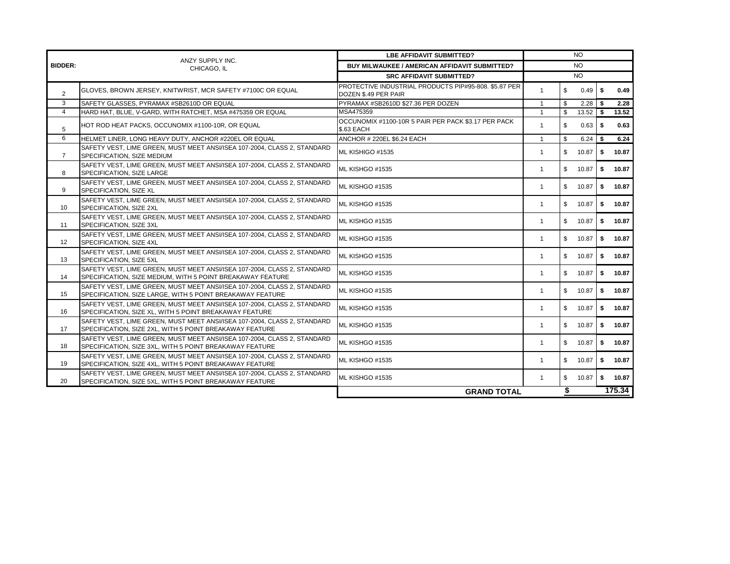|                 | ANZY SUPPLY INC.<br>CHICAGO, IL                                                                                                        | <b>LBE AFFIDAVIT SUBMITTED?</b>                                               |              | NO.          |                     |    |        |
|-----------------|----------------------------------------------------------------------------------------------------------------------------------------|-------------------------------------------------------------------------------|--------------|--------------|---------------------|----|--------|
| <b>BIDDER:</b>  |                                                                                                                                        | <b>BUY MILWAUKEE / AMERICAN AFFIDAVIT SUBMITTED?</b>                          | <b>NO</b>    |              |                     |    |        |
|                 |                                                                                                                                        | <b>SRC AFFIDAVIT SUBMITTED?</b>                                               |              | <b>NO</b>    |                     |    |        |
| $\overline{2}$  | GLOVES, BROWN JERSEY, KNITWRIST, MCR SAFETY #7100C OR EQUAL                                                                            | PROTECTIVE INDUSTRIAL PRODUCTS PIP#95-808, \$5.87 PER<br>DOZEN \$.49 PER PAIR | $\mathbf{1}$ | \$           | $0.49$ \$           |    | 0.49   |
| 3               | SAFETY GLASSES. PYRAMAX #SB2610D OR EQUAL                                                                                              | PYRAMAX #SB2610D \$27.36 PER DOZEN                                            | $\mathbf{1}$ | \$           |                     |    | 2.28   |
| $\overline{4}$  | HARD HAT, BLUE, V-GARD, WITH RATCHET, MSA #475359 OR EQUAL                                                                             | MSA475359                                                                     | $\mathbf{1}$ | $\mathbf{s}$ | $13.52$ \$          |    | 13.52  |
| 5               | HOT ROD HEAT PACKS, OCCUNOMIX #1100-10R, OR EQUAL                                                                                      | OCCUNOMIX #1100-10R 5 PAIR PER PACK \$3.17 PER PACK<br><b>\$.63 EACH</b>      | $\mathbf{1}$ | \$           | $0.63$   \$         |    | 0.63   |
| 6               | HELMET LINER, LONG HEAVY DUTY, ANCHOR #220EL OR EQUAL                                                                                  | ANCHOR # 220EL \$6.24 EACH                                                    | $\mathbf{1}$ | \$           | $6.24$ \$           |    | 6.24   |
| $\overline{7}$  | SAFETY VEST, LIME GREEN, MUST MEET ANSI/ISEA 107-2004, CLASS 2, STANDARD<br>SPECIFICATION, SIZE MEDIUM                                 | ML KISHIGO #1535                                                              | $\mathbf{1}$ | \$           | 10.87 $\frac{1}{3}$ |    | 10.87  |
| 8               | SAFETY VEST, LIME GREEN, MUST MEET ANSI/ISEA 107-2004, CLASS 2, STANDARD<br>SPECIFICATION, SIZE LARGE                                  | ML KISHGO #1535                                                               | $\mathbf{1}$ | \$           | 10.87               | \$ | 10.87  |
| 9               | SAFETY VEST, LIME GREEN, MUST MEET ANSI/ISEA 107-2004, CLASS 2, STANDARD<br>SPECIFICATION, SIZE XL                                     | ML KISHGO #1535                                                               | $\mathbf{1}$ | \$           | 10.87               | \$ | 10.87  |
| 10 <sup>1</sup> | SAFETY VEST, LIME GREEN, MUST MEET ANSI/ISEA 107-2004, CLASS 2, STANDARD<br>SPECIFICATION, SIZE 2XL                                    | ML KISHGO #1535                                                               | $\mathbf{1}$ | $^{\circ}$   | 10.87               | S. | 10.87  |
| 11              | SAFETY VEST, LIME GREEN, MUST MEET ANSI/ISEA 107-2004, CLASS 2, STANDARD<br>SPECIFICATION, SIZE 3XL                                    | ML KISHGO #1535                                                               | $\mathbf{1}$ | \$           | $10.87$ \$          |    | 10.87  |
| 12              | SAFETY VEST, LIME GREEN, MUST MEET ANSI/ISEA 107-2004, CLASS 2, STANDARD<br>SPECIFICATION, SIZE 4XL                                    | ML KISHGO #1535                                                               | $\mathbf{1}$ | \$           | 10.87               | S. | 10.87  |
| 13              | SAFETY VEST, LIME GREEN, MUST MEET ANSI/ISEA 107-2004, CLASS 2, STANDARD<br><b>SPECIFICATION, SIZE 5XL</b>                             | ML KISHGO #1535                                                               | $\mathbf{1}$ | \$           | 10.87               | \$ | 10.87  |
| 14              | SAFETY VEST. LIME GREEN. MUST MEET ANSI/ISEA 107-2004. CLASS 2. STANDARD<br>SPECIFICATION, SIZE MEDIUM, WITH 5 POINT BREAKAWAY FEATURE | ML KISHGO #1535                                                               | $\mathbf{1}$ | \$           | 10.87               | \$ | 10.87  |
| 15              | SAFETY VEST. LIME GREEN. MUST MEET ANSI/ISEA 107-2004. CLASS 2. STANDARD<br>SPECIFICATION, SIZE LARGE, WITH 5 POINT BREAKAWAY FEATURE  | ML KISHGO #1535                                                               | $\mathbf{1}$ | \$           | 10.87               | \$ | 10.87  |
| 16              | SAFETY VEST. LIME GREEN. MUST MEET ANSI/ISEA 107-2004. CLASS 2. STANDARD<br>SPECIFICATION, SIZE XL, WITH 5 POINT BREAKAWAY FEATURE     | ML KISHGO #1535                                                               | $\mathbf{1}$ | \$           | 10.87               | \$ | 10.87  |
| 17              | SAFETY VEST, LIME GREEN, MUST MEET ANSI/ISEA 107-2004, CLASS 2, STANDARD<br>SPECIFICATION, SIZE 2XL, WITH 5 POINT BREAKAWAY FEATURE    | ML KISHGO #1535                                                               | $\mathbf{1}$ | $^{\circ}$   | 10.87               | \$ | 10.87  |
| 18              | SAFETY VEST. LIME GREEN. MUST MEET ANSI/ISEA 107-2004. CLASS 2. STANDARD<br>SPECIFICATION, SIZE 3XL, WITH 5 POINT BREAKAWAY FEATURE    | ML KISHGO #1535                                                               | $\mathbf{1}$ | \$           | $10.87$ \$          |    | 10.87  |
| 19              | SAFETY VEST, LIME GREEN, MUST MEET ANSI/ISEA 107-2004, CLASS 2, STANDARD<br>SPECIFICATION, SIZE 4XL, WITH 5 POINT BREAKAWAY FEATURE    | ML KISHGO #1535                                                               | $\mathbf{1}$ | \$           | 10.87               | \$ | 10.87  |
| 20              | SAFETY VEST, LIME GREEN, MUST MEET ANSI/ISEA 107-2004, CLASS 2, STANDARD<br>SPECIFICATION, SIZE 5XL, WITH 5 POINT BREAKAWAY FEATURE    | ML KISHGO #1535                                                               | $\mathbf{1}$ | \$           | 10.87               | \$ | 10.87  |
|                 |                                                                                                                                        | <b>GRAND TOTAL</b>                                                            |              | \$           |                     |    | 175.34 |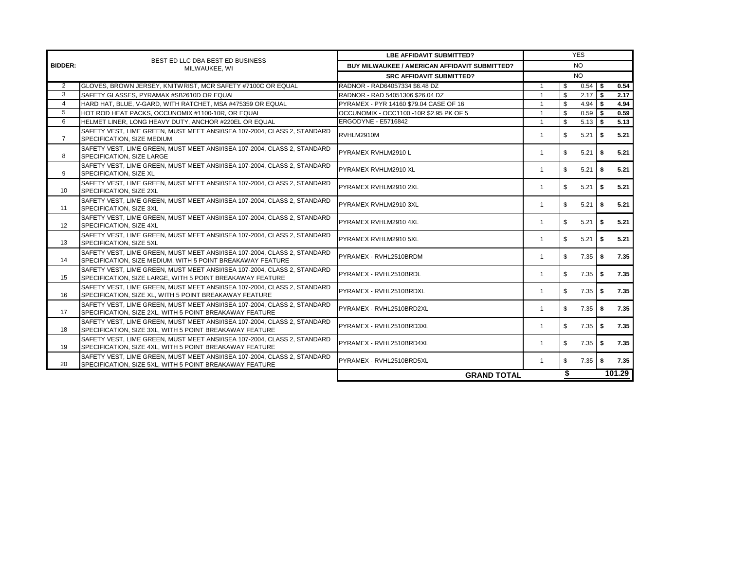|                | BEST ED LLC DBA BEST ED BUSINESS                                                                                                       | <b>LBE AFFIDAVIT SUBMITTED?</b>               |                | <b>YES</b>   |               |     |        |  |  |
|----------------|----------------------------------------------------------------------------------------------------------------------------------------|-----------------------------------------------|----------------|--------------|---------------|-----|--------|--|--|
| <b>BIDDER:</b> | MILWAUKEE, WI                                                                                                                          | BUY MILWAUKEE / AMERICAN AFFIDAVIT SUBMITTED? | NO.            |              |               |     |        |  |  |
|                |                                                                                                                                        | <b>SRC AFFIDAVIT SUBMITTED?</b>               |                | NO.          |               |     |        |  |  |
| 2              | GLOVES, BROWN JERSEY, KNITWRIST, MCR SAFETY #7100C OR EQUAL                                                                            | RADNOR - RAD64057334 \$6.48 DZ                | $\overline{1}$ | \$           | $0.54$ \$     |     | 0.54   |  |  |
| 3              | SAFETY GLASSES. PYRAMAX #SB2610D OR EQUAL                                                                                              | RADNOR - RAD 54051306 \$26.04 DZ              | $\overline{1}$ | \$           | $2.17$ \$     |     | 2.17   |  |  |
| $\overline{4}$ | HARD HAT, BLUE, V-GARD, WITH RATCHET, MSA #475359 OR EQUAL                                                                             | PYRAMEX - PYR 14160 \$79.04 CASE OF 16        | $\mathbf{1}$   | \$           | $4.94$ \$     |     | 4.94   |  |  |
| 5              | HOT ROD HEAT PACKS, OCCUNOMIX #1100-10R, OR EQUAL                                                                                      | OCCUNOMIX - OCC1100 -10R \$2.95 PK OF 5       | $\mathbf{1}$   | \$           | $0.59$ \$     |     | 0.59   |  |  |
| 6              | HELMET LINER, LONG HEAVY DUTY, ANCHOR #220EL OR EQUAL                                                                                  | ERGODYNE - E5716842                           | $\mathbf{1}$   | $\mathbb{S}$ | $5.13$ \$     |     | 5.13   |  |  |
| $\overline{7}$ | SAFETY VEST, LIME GREEN, MUST MEET ANSI/ISEA 107-2004, CLASS 2, STANDARD<br>SPECIFICATION, SIZE MEDIUM                                 | RVHLM2910M                                    | $\mathbf{1}$   | \$           | $5.21$ \$     |     | 5.21   |  |  |
| 8              | SAFETY VEST, LIME GREEN, MUST MEET ANSI/ISEA 107-2004, CLASS 2, STANDARD<br>SPECIFICATION, SIZE LARGE                                  | PYRAMEX RVHLM2910L                            | 1              | \$           | $5.21$ \$     |     | 5.21   |  |  |
| 9              | SAFETY VEST, LIME GREEN, MUST MEET ANSI/ISEA 107-2004, CLASS 2, STANDARD<br>SPECIFICATION, SIZE XL                                     | PYRAMEX RVHLM2910 XL                          | 1              | \$           | 5.21          | -\$ | 5.21   |  |  |
| 10             | SAFETY VEST, LIME GREEN, MUST MEET ANSI/ISEA 107-2004, CLASS 2, STANDARD<br>SPECIFICATION, SIZE 2XL                                    | PYRAMEX RVHLM2910 2XL                         | $\mathbf{1}$   | \$           | $5.21$ \$     |     | 5.21   |  |  |
| 11             | SAFETY VEST, LIME GREEN, MUST MEET ANSI/ISEA 107-2004, CLASS 2, STANDARD<br>SPECIFICATION, SIZE 3XL                                    | PYRAMEX RVHLM2910 3XL                         | $\mathbf{1}$   | \$           | $5.21$ \$     |     | 5.21   |  |  |
| 12             | SAFETY VEST, LIME GREEN, MUST MEET ANSI/ISEA 107-2004, CLASS 2, STANDARD<br>SPECIFICATION, SIZE 4XL                                    | PYRAMEX RVHLM2910 4XL                         | $\mathbf{1}$   | \$           | 5.21          | S.  | 5.21   |  |  |
| 13             | SAFETY VEST. LIME GREEN, MUST MEET ANSI/ISEA 107-2004, CLASS 2, STANDARD<br>SPECIFICATION, SIZE 5XL                                    | PYRAMEX RVHLM2910 5XL                         | $\mathbf{1}$   | \$           | $5.21$ \$     |     | 5.21   |  |  |
| 14             | SAFETY VEST, LIME GREEN, MUST MEET ANSI/ISEA 107-2004, CLASS 2, STANDARD<br>SPECIFICATION, SIZE MEDIUM, WITH 5 POINT BREAKAWAY FEATURE | PYRAMEX - RVHL2510BRDM                        | $\mathbf{1}$   | \$           | $7.35$ \$     |     | 7.35   |  |  |
| 15             | SAFETY VEST, LIME GREEN, MUST MEET ANSI/ISEA 107-2004, CLASS 2, STANDARD<br>SPECIFICATION, SIZE LARGE, WITH 5 POINT BREAKAWAY FEATURE  | PYRAMEX - RVHL2510BRDL                        | $\mathbf{1}$   | \$           | $7.35$ \$     |     | 7.35   |  |  |
| 16             | SAFETY VEST. LIME GREEN, MUST MEET ANSI/ISEA 107-2004, CLASS 2, STANDARD<br>SPECIFICATION, SIZE XL, WITH 5 POINT BREAKAWAY FEATURE     | PYRAMEX - RVHL2510BRDXL                       | $\mathbf{1}$   | \$           | $7.35$ \$     |     | 7.35   |  |  |
| 17             | SAFETY VEST. LIME GREEN, MUST MEET ANSI/ISEA 107-2004, CLASS 2, STANDARD<br>SPECIFICATION, SIZE 2XL, WITH 5 POINT BREAKAWAY FEATURE    | PYRAMEX - RVHL2510BRD2XL                      | $\mathbf{1}$   | \$           | $7.35$ \ \ \$ |     | 7.35   |  |  |
| 18             | SAFETY VEST, LIME GREEN, MUST MEET ANSI/ISEA 107-2004, CLASS 2, STANDARD<br>SPECIFICATION, SIZE 3XL, WITH 5 POINT BREAKAWAY FEATURE    | PYRAMEX - RVHL2510BRD3XL                      | $\mathbf{1}$   | \$           |               |     | 7.35   |  |  |
| 19             | SAFETY VEST, LIME GREEN, MUST MEET ANSI/ISEA 107-2004, CLASS 2, STANDARD<br>SPECIFICATION, SIZE 4XL, WITH 5 POINT BREAKAWAY FEATURE    | PYRAMEX - RVHL2510BRD4XL                      | 1              | \$           | 7.35          | \$  | 7.35   |  |  |
| 20             | SAFETY VEST, LIME GREEN, MUST MEET ANSI/ISEA 107-2004, CLASS 2, STANDARD<br>SPECIFICATION, SIZE 5XL, WITH 5 POINT BREAKAWAY FEATURE    | PYRAMEX - RVHL2510BRD5XL                      | -1             | \$           | 7.35          | S.  | 7.35   |  |  |
|                |                                                                                                                                        | <b>GRAND TOTAL</b>                            |                | \$           |               |     | 101.29 |  |  |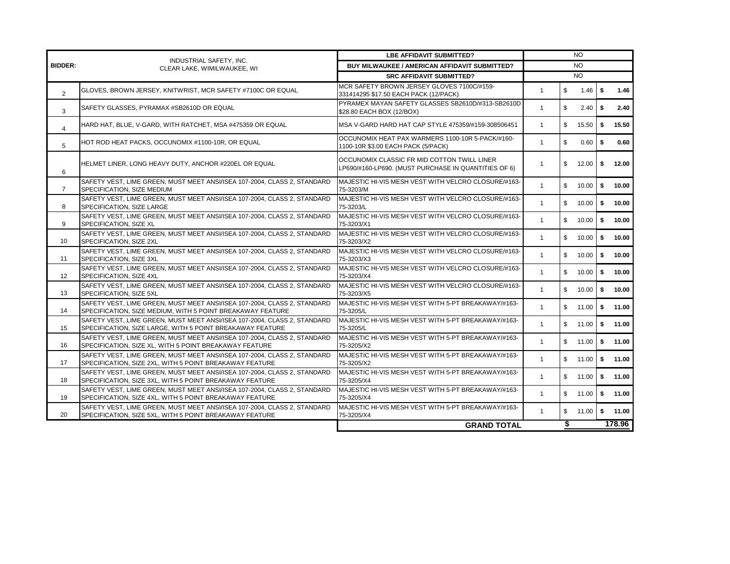|                | INDUSTRIAL SAFETY, INC.                                                                                                                | <b>LBE AFFIDAVIT SUBMITTED?</b>                                                                     | NO.          |              |                    |          |                   |  |
|----------------|----------------------------------------------------------------------------------------------------------------------------------------|-----------------------------------------------------------------------------------------------------|--------------|--------------|--------------------|----------|-------------------|--|
| <b>BIDDER:</b> | CLEAR LAKE, WIMILWAUKEE, WI                                                                                                            | BUY MILWAUKEE / AMERICAN AFFIDAVIT SUBMITTED?                                                       |              |              | NO.                |          |                   |  |
|                |                                                                                                                                        | <b>SRC AFFIDAVIT SUBMITTED?</b>                                                                     | <b>NO</b>    |              |                    |          |                   |  |
| $\overline{2}$ | GLOVES, BROWN JERSEY, KNITWRIST, MCR SAFETY #7100C OR EQUAL                                                                            | MCR SAFETY BROWN JERSEY GLOVES 7100C/#159-<br>331414295 \$17.50 EACH PACK (12/PACK)                 | $\mathbf{1}$ | \$           | $1.46$   \$        |          | 1.46              |  |
| 3              | SAFETY GLASSES, PYRAMAX #SB2610D OR EQUAL                                                                                              | PYRAMEX MAYAN SAFETY GLASSES SB2610D/#313-SB2610D<br>\$28.80 EACH BOX (12/BOX)                      | $\mathbf{1}$ | \$           | 2.40               | <b>S</b> | 2.40              |  |
| 4              | HARD HAT, BLUE, V-GARD, WITH RATCHET, MSA #475359 OR EQUAL                                                                             | MSA V-GARD HARD HAT CAP STYLE 475359/#159-308506451                                                 | $\mathbf{1}$ | $\mathbb{S}$ | $15.50$ $\sqrt{5}$ |          | 15.50             |  |
| 5              | HOT ROD HEAT PACKS, OCCUNOMIX #1100-10R, OR EQUAL                                                                                      | OCCUNOMIX HEAT PAX WARMERS 1100-10R 5-PACK/#160-<br>1100-10R \$3.00 EACH PACK (5/PACK)              | $\mathbf{1}$ | \$           | $0.60$ \ \$        |          | 0.60              |  |
| 6              | HELMET LINER, LONG HEAVY DUTY, ANCHOR #220EL OR EQUAL                                                                                  | OCCUNOMIX CLASSIC FR MID COTTON TWILL LINER<br>LP690/#160-LP690. (MUST PURCHASE IN QUANTITIES OF 6) | $\mathbf{1}$ | \$           | 12.00              | \$       | 12.00             |  |
| $\overline{7}$ | SAFETY VEST, LIME GREEN, MUST MEET ANSI/ISEA 107-2004, CLASS 2, STANDARD<br>SPECIFICATION, SIZE MEDIUM                                 | MAJESTIC HI-VIS MESH VEST WITH VELCRO CLOSURE/#163-<br>75-3203/M                                    | $\mathbf{1}$ | $\mathbb{S}$ | $10.00$   \$       |          | 10.00             |  |
| 8              | SAFETY VEST, LIME GREEN, MUST MEET ANSI/ISEA 107-2004, CLASS 2, STANDARD<br>SPECIFICATION, SIZE LARGE                                  | MAJESTIC HI-VIS MESH VEST WITH VELCRO CLOSURE/#163-<br>75-3203/L                                    | $\mathbf{1}$ | $\mathbb{S}$ | 10.00              | <b>S</b> | 10.00             |  |
| 9              | SAFETY VEST, LIME GREEN, MUST MEET ANSI/ISEA 107-2004, CLASS 2, STANDARD<br>SPECIFICATION, SIZE XL                                     | MAJESTIC HI-VIS MESH VEST WITH VELCRO CLOSURE/#163-<br>75-3203/X1                                   | $\mathbf{1}$ | $\mathbb{S}$ | 10.00              | \$       | 10.00             |  |
| 10             | SAFETY VEST, LIME GREEN, MUST MEET ANSI/ISEA 107-2004, CLASS 2, STANDARD<br>SPECIFICATION, SIZE 2XL                                    | MAJESTIC HI-VIS MESH VEST WITH VELCRO CLOSURE/#163-<br>75-3203/X2                                   | $\mathbf{1}$ | $\mathbb{S}$ | 10.00              | S.       | 10.00             |  |
| 11             | SAFETY VEST, LIME GREEN, MUST MEET ANSI/ISEA 107-2004, CLASS 2, STANDARD<br>SPECIFICATION, SIZE 3XL                                    | MAJESTIC HI-VIS MESH VEST WITH VELCRO CLOSURE/#163-<br>75-3203/X3                                   | $\mathbf{1}$ | \$           | 10.00              | \$       | 10.00             |  |
| 12             | SAFETY VEST. LIME GREEN. MUST MEET ANSI/ISEA 107-2004. CLASS 2. STANDARD<br>SPECIFICATION. SIZE 4XL                                    | <b>MAJESTIC HI-VIS MESH VEST WITH VELCRO CLOSURE/#163-</b><br>75-3203/X4                            | $\mathbf{1}$ | $\mathbb{S}$ | 10.00              | <b>S</b> | 10.00             |  |
| 13             | SAFETY VEST, LIME GREEN, MUST MEET ANSI/ISEA 107-2004, CLASS 2, STANDARD<br>SPECIFICATION, SIZE 5XL                                    | MAJESTIC HI-VIS MESH VEST WITH VELCRO CLOSURE/#163-<br>75-3203/X5                                   | $\mathbf{1}$ | $\mathsf{s}$ | 10.00              | -\$      | 10.00             |  |
| 14             | SAFETY VEST, LIME GREEN, MUST MEET ANSI/ISEA 107-2004, CLASS 2, STANDARD<br>SPECIFICATION, SIZE MEDIUM, WITH 5 POINT BREAKAWAY FEATURE | MAJESTIC HI-VIS MESH VEST WITH 5-PT BREAKAWAY/#163-<br>75-3205/L                                    | $\mathbf{1}$ | $\mathbb{S}$ | $11.00$ \$         |          | 11.00             |  |
| 15             | SAFETY VEST, LIME GREEN, MUST MEET ANSI/ISEA 107-2004, CLASS 2, STANDARD<br>SPECIFICATION, SIZE LARGE, WITH 5 POINT BREAKAWAY FEATURE  | MAJESTIC HI-VIS MESH VEST WITH 5-PT BREAKAWAY/#163-<br>75-3205/L                                    | $\mathbf{1}$ |              | \$ 11.00           | \$       | 11.00             |  |
| 16             | SAFETY VEST, LIME GREEN, MUST MEET ANSI/ISEA 107-2004, CLASS 2, STANDARD<br>SPECIFICATION, SIZE XL, WITH 5 POINT BREAKAWAY FEATURE     | MAJESTIC HI-VIS MESH VEST WITH 5-PT BREAKAWAY/#163-<br>75-3205/X2                                   | $\mathbf{1}$ | $\mathbb{S}$ | $11.00$ \$         |          | 11.00             |  |
| 17             | SAFETY VEST. LIME GREEN, MUST MEET ANSI/ISEA 107-2004, CLASS 2, STANDARD<br>SPECIFICATION, SIZE 2XL, WITH 5 POINT BREAKAWAY FEATURE    | MAJESTIC HI-VIS MESH VEST WITH 5-PT BREAKAWAY/#163-<br>75-3205/X2                                   | $\mathbf{1}$ |              |                    |          | $$11.00$ $$11.00$ |  |
| 18             | SAFETY VEST. LIME GREEN, MUST MEET ANSI/ISEA 107-2004, CLASS 2, STANDARD<br>SPECIFICATION, SIZE 3XL, WITH 5 POINT BREAKAWAY FEATURE    | MAJESTIC HI-VIS MESH VEST WITH 5-PT BREAKAWAY/#163-<br>75-3205/X4                                   | $\mathbf{1}$ |              | \$ 11.00           | \$       | 11.00             |  |
| 19             | SAFETY VEST, LIME GREEN, MUST MEET ANSI/ISEA 107-2004, CLASS 2, STANDARD<br>SPECIFICATION, SIZE 4XL, WITH 5 POINT BREAKAWAY FEATURE    | MAJESTIC HI-VIS MESH VEST WITH 5-PT BREAKAWAY/#163-<br>75-3205/X4                                   | $\mathbf{1}$ | $\mathbb{S}$ | 11.00              | \$       | 11.00             |  |
| 20             | SAFETY VEST, LIME GREEN, MUST MEET ANSI/ISEA 107-2004, CLASS 2, STANDARD<br>SPECIFICATION, SIZE 5XL, WITH 5 POINT BREAKAWAY FEATURE    | MAJESTIC HI-VIS MESH VEST WITH 5-PT BREAKAWAY/#163-<br>75-3205/X4                                   | $\mathbf{1}$ |              | \$ 11.00           | <b>S</b> | 11.00             |  |
|                |                                                                                                                                        | <b>GRAND TOTAL</b>                                                                                  |              | \$           |                    |          | 178.96            |  |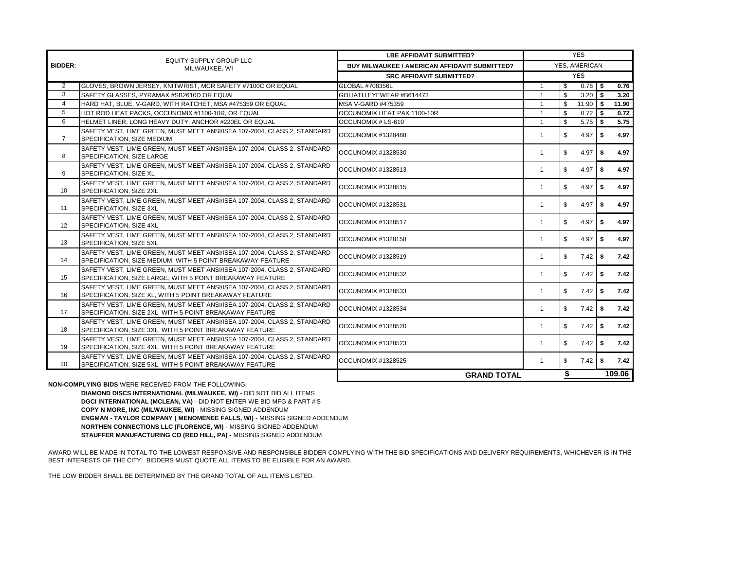|                | <b>EQUITY SUPPLY GROUP LLC</b>                                                                                                         | <b>LBE AFFIDAVIT SUBMITTED?</b>                      | <b>YES</b>     |              |            |     |        |  |
|----------------|----------------------------------------------------------------------------------------------------------------------------------------|------------------------------------------------------|----------------|--------------|------------|-----|--------|--|
| <b>BIDDER:</b> | MILWAUKEE, WI                                                                                                                          | <b>BUY MILWAUKEE / AMERICAN AFFIDAVIT SUBMITTED?</b> | YES, AMERICAN  |              |            |     |        |  |
|                |                                                                                                                                        | <b>SRC AFFIDAVIT SUBMITTED?</b>                      | <b>YES</b>     |              |            |     |        |  |
| 2              | GLOVES, BROWN JERSEY, KNITWRIST, MCR SAFETY #7100C OR EQUAL                                                                            | GLOBAL #708356L                                      | -1             | \$           | $0.76$ \$  |     | 0.76   |  |
| 3              | SAFETY GLASSES, PYRAMAX #SB2610D OR EQUAL                                                                                              | GOLIATH EYEWEAR #B614473                             | $\overline{1}$ | $\mathbf{s}$ | $3.20$ \$  |     | 3.20   |  |
| $\overline{4}$ | HARD HAT, BLUE, V-GARD, WITH RATCHET, MSA #475359 OR EQUAL                                                                             | MSA V-GARD #475359                                   | $\overline{1}$ | $\mathbb{S}$ | $11.90$ \$ |     | 11.90  |  |
| 5              | HOT ROD HEAT PACKS, OCCUNOMIX #1100-10R, OR EQUAL                                                                                      | OCCUNOMIX HEAT PAX 1100-10R                          | $\mathbf{1}$   | \$           | $0.72$ \$  |     | 0.72   |  |
| 6              | HELMET LINER, LONG HEAVY DUTY, ANCHOR #220EL OR EQUAL                                                                                  | OCCUNOMIX # LS-610                                   | $\overline{1}$ | $\mathbf{s}$ | $5.75$ \$  |     | 5.75   |  |
| $\overline{7}$ | SAFETY VEST. LIME GREEN. MUST MEET ANSI/ISEA 107-2004. CLASS 2. STANDARD<br>SPECIFICATION. SIZE MEDIUM                                 | OCCUNOMIX #1328488                                   | 1              | \$           | 4.97       | \$  | 4.97   |  |
| 8              | SAFETY VEST. LIME GREEN, MUST MEET ANSI/ISEA 107-2004, CLASS 2, STANDARD<br>SPECIFICATION, SIZE LARGE                                  | OCCUNOMIX #1328530                                   | 1              | \$           | 4.97       | \$  | 4.97   |  |
| 9              | SAFETY VEST, LIME GREEN, MUST MEET ANSI/ISEA 107-2004, CLASS 2, STANDARD<br>SPECIFICATION, SIZE XL                                     | OCCUNOMIX #1328513                                   | 1              | \$           | 4.97       | S.  | 4.97   |  |
| 10             | SAFETY VEST, LIME GREEN, MUST MEET ANSI/ISEA 107-2004, CLASS 2, STANDARD<br>SPECIFICATION, SIZE 2XL                                    | OCCUNOMIX #1328515                                   | 1              | \$           | 4.97       | S.  | 4.97   |  |
| 11             | SAFETY VEST, LIME GREEN, MUST MEET ANSI/ISEA 107-2004, CLASS 2, STANDARD<br>SPECIFICATION, SIZE 3XL                                    | OCCUNOMIX #1328531                                   | 1              | \$           | 4.97       | \$  | 4.97   |  |
| 12             | SAFETY VEST. LIME GREEN, MUST MEET ANSI/ISEA 107-2004, CLASS 2, STANDARD<br>SPECIFICATION, SIZE 4XL                                    | OCCUNOMIX #1328517                                   | $\mathbf{1}$   | \$           | 4.97       | S.  | 4.97   |  |
| 13             | SAFETY VEST, LIME GREEN, MUST MEET ANSI/ISEA 107-2004, CLASS 2, STANDARD<br>SPECIFICATION, SIZE 5XL                                    | OCCUNOMIX #1328158                                   | $\mathbf{1}$   | \$           | 4.97       | -\$ | 4.97   |  |
| 14             | SAFETY VEST, LIME GREEN, MUST MEET ANSI/ISEA 107-2004, CLASS 2, STANDARD<br>SPECIFICATION, SIZE MEDIUM, WITH 5 POINT BREAKAWAY FEATURE | OCCUNOMIX #1328519                                   | $\mathbf{1}$   | \$           | $7.42$ \$  |     | 7.42   |  |
| 15             | SAFETY VEST. LIME GREEN, MUST MEET ANSI/ISEA 107-2004, CLASS 2, STANDARD<br>SPECIFICATION, SIZE LARGE, WITH 5 POINT BREAKAWAY FEATURE  | OCCUNOMIX #1328532                                   | $\mathbf{1}$   | \$           | $7.42$ \$  |     | 7.42   |  |
| 16             | SAFETY VEST, LIME GREEN, MUST MEET ANSI/ISEA 107-2004, CLASS 2, STANDARD<br>SPECIFICATION, SIZE XL, WITH 5 POINT BREAKAWAY FEATURE     | OCCUNOMIX #1328533                                   | $\mathbf{1}$   | \$           | $7.42$ \$  |     | 7.42   |  |
| 17             | SAFETY VEST, LIME GREEN, MUST MEET ANSI/ISEA 107-2004, CLASS 2, STANDARD<br>SPECIFICATION, SIZE 2XL, WITH 5 POINT BREAKAWAY FEATURE    | OCCUNOMIX #1328534                                   | $\mathbf{1}$   | \$           | $7.42$ \$  |     | 7.42   |  |
| 18             | SAFETY VEST, LIME GREEN, MUST MEET ANSI/ISEA 107-2004, CLASS 2, STANDARD<br>SPECIFICATION, SIZE 3XL, WITH 5 POINT BREAKAWAY FEATURE    | OCCUNOMIX #1328520                                   | $\mathbf{1}$   | \$           | $7.42$ \$  |     | 7.42   |  |
| 19             | SAFETY VEST. LIME GREEN. MUST MEET ANSI/ISEA 107-2004. CLASS 2. STANDARD<br>SPECIFICATION, SIZE 4XL, WITH 5 POINT BREAKAWAY FEATURE    | OCCUNOMIX #1328523                                   | $\mathbf{1}$   | \$           | $7.42$ \$  |     | 7.42   |  |
| 20             | SAFETY VEST. LIME GREEN, MUST MEET ANSI/ISEA 107-2004, CLASS 2, STANDARD<br>SPECIFICATION, SIZE 5XL, WITH 5 POINT BREAKAWAY FEATURE    | OCCUNOMIX #1328525                                   | $\mathbf{1}$   | \$           | $7.42$ \$  |     | 7.42   |  |
|                |                                                                                                                                        | <b>GRAND TOTAL</b>                                   |                | \$           |            |     | 109.06 |  |

**NON-COMPLYING BIDS** WERE RECEIVED FROM THE FOLLOWING:

**DIAMOND DISCS INTERNATIONAL (MILWAUKEE, WI)** - DID NOT BID ALL ITEMS **DGCI INTERNATIONAL (MCLEAN, VA)** - DID NOT ENTER WE BID MFG & PART #'S **COPY N MORE, INC (MILWAUKEE, WI)** - MISSING SIGNED ADDENDUM **ENGMAN - TAYLOR COMPANY ( MENOMENEE FALLS, WI)** - MISSING SIGNED ADDENDUM **NORTHEN CONNECTIONS LLC (FLORENCE, WI)** - MISSING SIGNED ADDENDUM **STAUFFER MANUFACTURING CO (RED HILL, PA) -** MISSING SIGNED ADDENDUM

AWARD WILL BE MADE IN TOTAL TO THE LOWEST RESPONSIVE AND RESPONSIBLE BIDDER COMPLYING WITH THE BID SPECIFICATIONS AND DELIVERY REQUIREMENTS, WHICHEVER IS IN THE BEST INTERESTS OF THE CITY. BIDDERS MUST QUOTE ALL ITEMS TO BE ELIGIBLE FOR AN AWARD.

THE LOW BIDDER SHALL BE DETERMINED BY THE GRAND TOTAL OF ALL ITEMS LISTED.